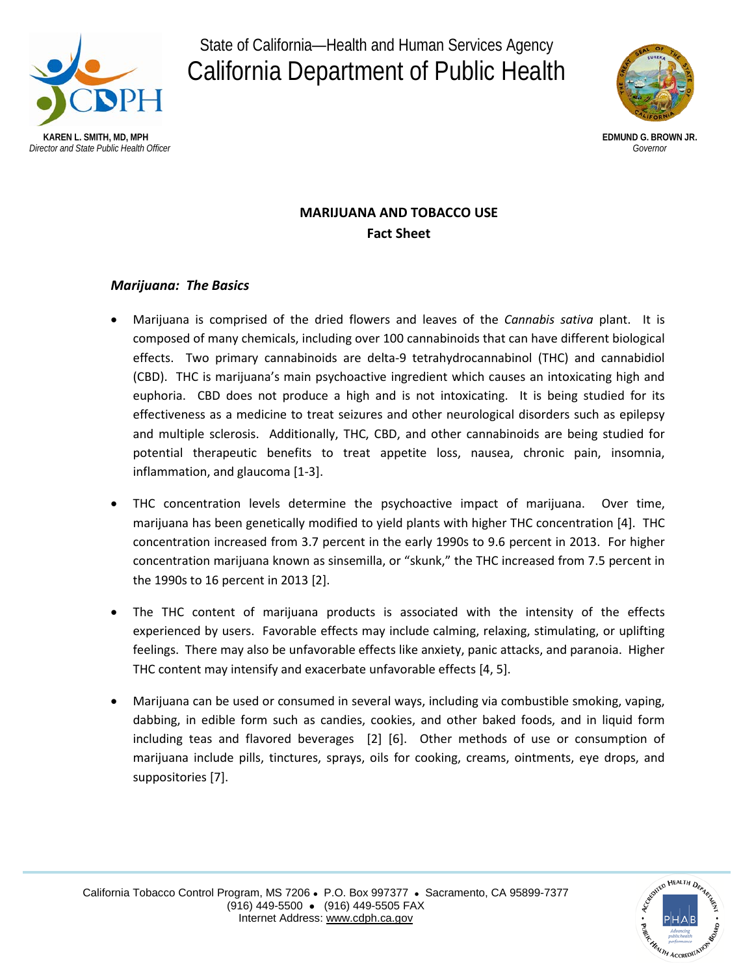

State of California—Health and Human Services Agency California Department of Public Health



# **MARIJUANA AND TOBACCO USE Fact Sheet**

# *Marijuana: The Basics*

- Marijuana is comprised of the dried flowers and leaves of the *Cannabis sativa* plant. It is composed of many chemicals, including over 100 cannabinoids that can have different biological effects. Two primary cannabinoids are delta-9 tetrahydrocannabinol (THC) and cannabidiol (CBD). THC is marijuana's main psychoactive ingredient which causes an intoxicating high and euphoria. CBD does not produce a high and is not intoxicating. It is being studied for its effectiveness as a medicine to treat seizures and other neurological disorders such as epilepsy and multiple sclerosis. Additionally, THC, CBD, and other cannabinoids are being studied for potential therapeutic benefits to treat appetite loss, nausea, chronic pain, insomnia, inflammation, and glaucoma [1-3].
- THC concentration levels determine the psychoactive impact of marijuana. Over time, marijuana has been genetically modified to yield plants with higher THC concentration [4]. THC concentration increased from 3.7 percent in the early 1990s to 9.6 percent in 2013. For higher concentration marijuana known as sinsemilla, or "skunk," the THC increased from 7.5 percent in the 1990s to 16 percent in 2013 [2].
- The THC content of marijuana products is associated with the intensity of the effects experienced by users. Favorable effects may include calming, relaxing, stimulating, or uplifting feelings. There may also be unfavorable effects like anxiety, panic attacks, and paranoia. Higher THC content may intensify and exacerbate unfavorable effects [4, 5].
- Marijuana can be used or consumed in several ways, including via combustible smoking, vaping, dabbing, in edible form such as candies, cookies, and other baked foods, and in liquid form including teas and flavored beverages [2] [6]. Other methods of use or consumption of marijuana include pills, tinctures, sprays, oils for cooking, creams, ointments, eye drops, and suppositories [7].

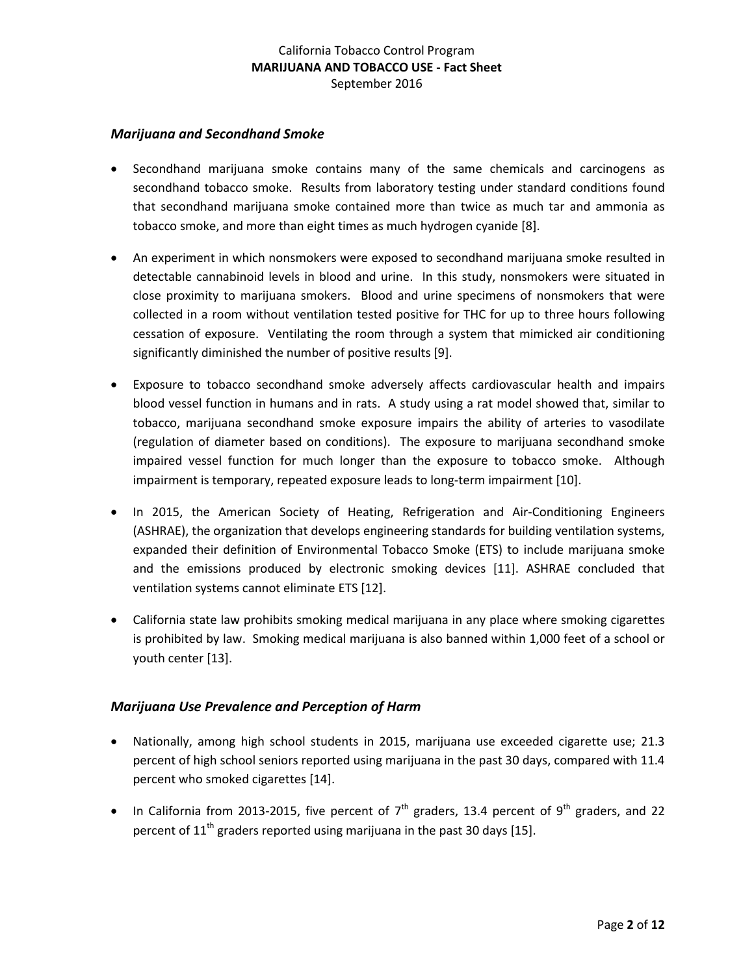### *Marijuana and Secondhand Smoke*

- Secondhand marijuana smoke contains many of the same chemicals and carcinogens as secondhand tobacco smoke. Results from laboratory testing under standard conditions found that secondhand marijuana smoke contained more than twice as much tar and ammonia as tobacco smoke, and more than eight times as much hydrogen cyanide [8].
- An experiment in which nonsmokers were exposed to secondhand marijuana smoke resulted in detectable cannabinoid levels in blood and urine. In this study, nonsmokers were situated in close proximity to marijuana smokers. Blood and urine specimens of nonsmokers that were collected in a room without ventilation tested positive for THC for up to three hours following cessation of exposure. Ventilating the room through a system that mimicked air conditioning significantly diminished the number of positive results [9].
- Exposure to tobacco secondhand smoke adversely affects cardiovascular health and impairs blood vessel function in humans and in rats. A study using a rat model showed that, similar to tobacco, marijuana secondhand smoke exposure impairs the ability of arteries to vasodilate (regulation of diameter based on conditions). The exposure to marijuana secondhand smoke impaired vessel function for much longer than the exposure to tobacco smoke. Although impairment is temporary, repeated exposure leads to long-term impairment [10].
- In 2015, the American Society of Heating, Refrigeration and Air-Conditioning Engineers (ASHRAE), the organization that develops engineering standards for building ventilation systems, expanded their definition of Environmental Tobacco Smoke (ETS) to include marijuana smoke and the emissions produced by electronic smoking devices [11]. ASHRAE concluded that ventilation systems cannot eliminate ETS [12].
- California state law prohibits smoking medical marijuana in any place where smoking cigarettes is prohibited by law. Smoking medical marijuana is also banned within 1,000 feet of a school or youth center [13].

### *Marijuana Use Prevalence and Perception of Harm*

- Nationally, among high school students in 2015, marijuana use exceeded cigarette use; 21.3 percent of high school seniors reported using marijuana in the past 30 days, compared with 11.4 percent who smoked cigarettes [14].
- In California from 2013-2015, five percent of  $7<sup>th</sup>$  graders, 13.4 percent of 9<sup>th</sup> graders, and 22 percent of  $11<sup>th</sup>$  graders reported using marijuana in the past 30 days [15].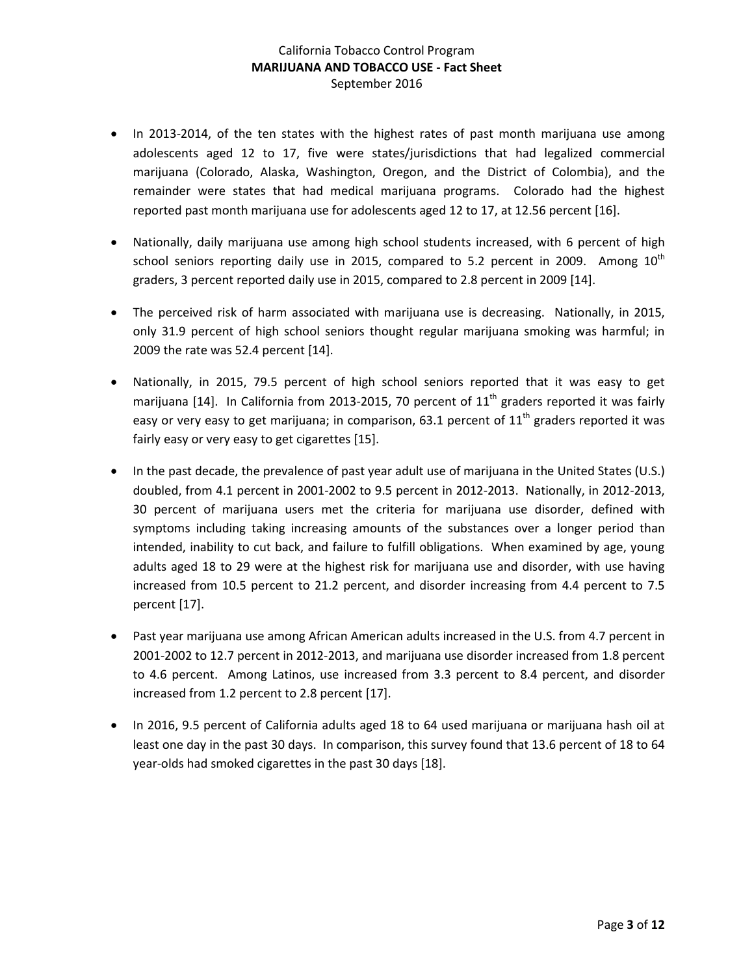- In 2013-2014, of the ten states with the highest rates of past month marijuana use among adolescents aged 12 to 17, five were states/jurisdictions that had legalized commercial marijuana (Colorado, Alaska, Washington, Oregon, and the District of Colombia), and the remainder were states that had medical marijuana programs. Colorado had the highest reported past month marijuana use for adolescents aged 12 to 17, at 12.56 percent [16].
- Nationally, daily marijuana use among high school students increased, with 6 percent of high school seniors reporting daily use in 2015, compared to 5.2 percent in 2009. Among  $10<sup>th</sup>$ graders, 3 percent reported daily use in 2015, compared to 2.8 percent in 2009 [14].
- The perceived risk of harm associated with marijuana use is decreasing. Nationally, in 2015, only 31.9 percent of high school seniors thought regular marijuana smoking was harmful; in 2009 the rate was 52.4 percent [14].
- Nationally, in 2015, 79.5 percent of high school seniors reported that it was easy to get marijuana [14]. In California from 2013-2015, 70 percent of  $11<sup>th</sup>$  graders reported it was fairly easy or very easy to get marijuana; in comparison, 63.1 percent of  $11<sup>th</sup>$  graders reported it was fairly easy or very easy to get cigarettes [15].
- In the past decade, the prevalence of past year adult use of marijuana in the United States (U.S.) doubled, from 4.1 percent in 2001-2002 to 9.5 percent in 2012-2013. Nationally, in 2012-2013, 30 percent of marijuana users met the criteria for marijuana use disorder, defined with symptoms including taking increasing amounts of the substances over a longer period than intended, inability to cut back, and failure to fulfill obligations. When examined by age, young adults aged 18 to 29 were at the highest risk for marijuana use and disorder, with use having increased from 10.5 percent to 21.2 percent, and disorder increasing from 4.4 percent to 7.5 percent [17].
- Past year marijuana use among African American adults increased in the U.S. from 4.7 percent in 2001-2002 to 12.7 percent in 2012-2013, and marijuana use disorder increased from 1.8 percent to 4.6 percent. Among Latinos, use increased from 3.3 percent to 8.4 percent, and disorder increased from 1.2 percent to 2.8 percent [17].
- In 2016, 9.5 percent of California adults aged 18 to 64 used marijuana or marijuana hash oil at least one day in the past 30 days. In comparison, this survey found that 13.6 percent of 18 to 64 year-olds had smoked cigarettes in the past 30 days [18].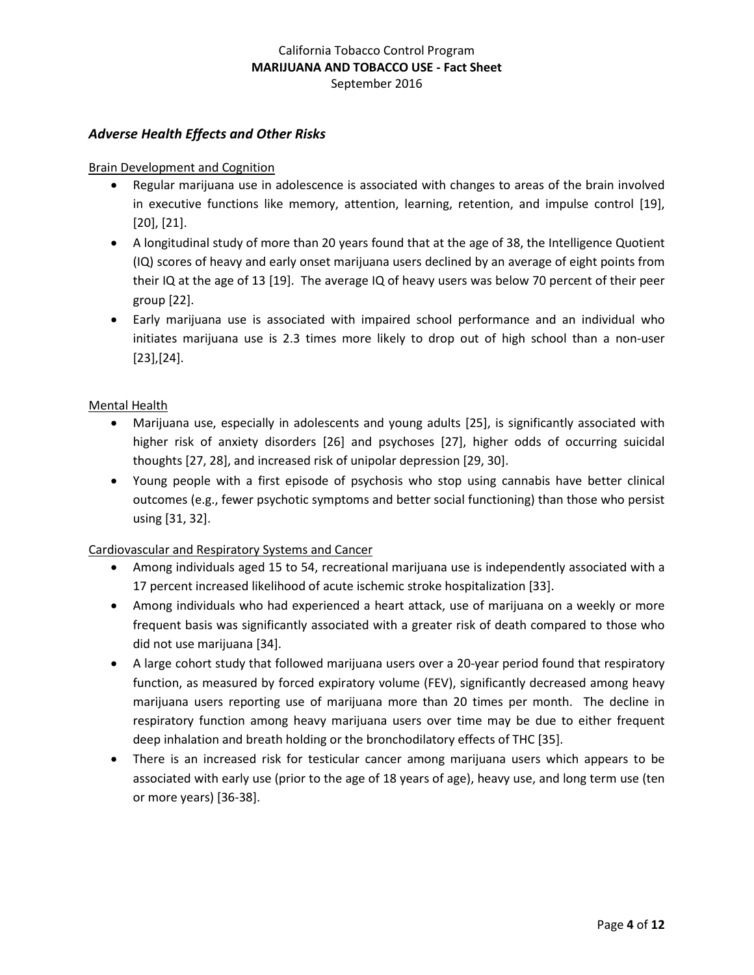### *Adverse Health Effects and Other Risks*

#### Brain Development and Cognition

- Regular marijuana use in adolescence is associated with changes to areas of the brain involved in executive functions like memory, attention, learning, retention, and impulse control [19], [20], [21].
- A longitudinal study of more than 20 years found that at the age of 38, the Intelligence Quotient (IQ) scores of heavy and early onset marijuana users declined by an average of eight points from their IQ at the age of 13 [19]. The average IQ of heavy users was below 70 percent of their peer group [22].
- Early marijuana use is associated with impaired school performance and an individual who initiates marijuana use is 2.3 times more likely to drop out of high school than a non-user [23],[24].

### Mental Health

- Marijuana use, especially in adolescents and young adults [25], is significantly associated with higher risk of anxiety disorders [26] and psychoses [27], higher odds of occurring suicidal thoughts [27, 28], and increased risk of unipolar depression [29, 30].
- Young people with a first episode of psychosis who stop using cannabis have better clinical outcomes (e.g., fewer psychotic symptoms and better social functioning) than those who persist using [31, 32].

#### Cardiovascular and Respiratory Systems and Cancer

- Among individuals aged 15 to 54, recreational marijuana use is independently associated with a 17 percent increased likelihood of acute ischemic stroke hospitalization [33].
- Among individuals who had experienced a heart attack, use of marijuana on a weekly or more frequent basis was significantly associated with a greater risk of death compared to those who did not use marijuana [34].
- A large cohort study that followed marijuana users over a 20-year period found that respiratory function, as measured by forced expiratory volume (FEV), significantly decreased among heavy marijuana users reporting use of marijuana more than 20 times per month. The decline in respiratory function among heavy marijuana users over time may be due to either frequent deep inhalation and breath holding or the bronchodilatory effects of THC [35].
- There is an increased risk for testicular cancer among marijuana users which appears to be associated with early use (prior to the age of 18 years of age), heavy use, and long term use (ten or more years) [36-38].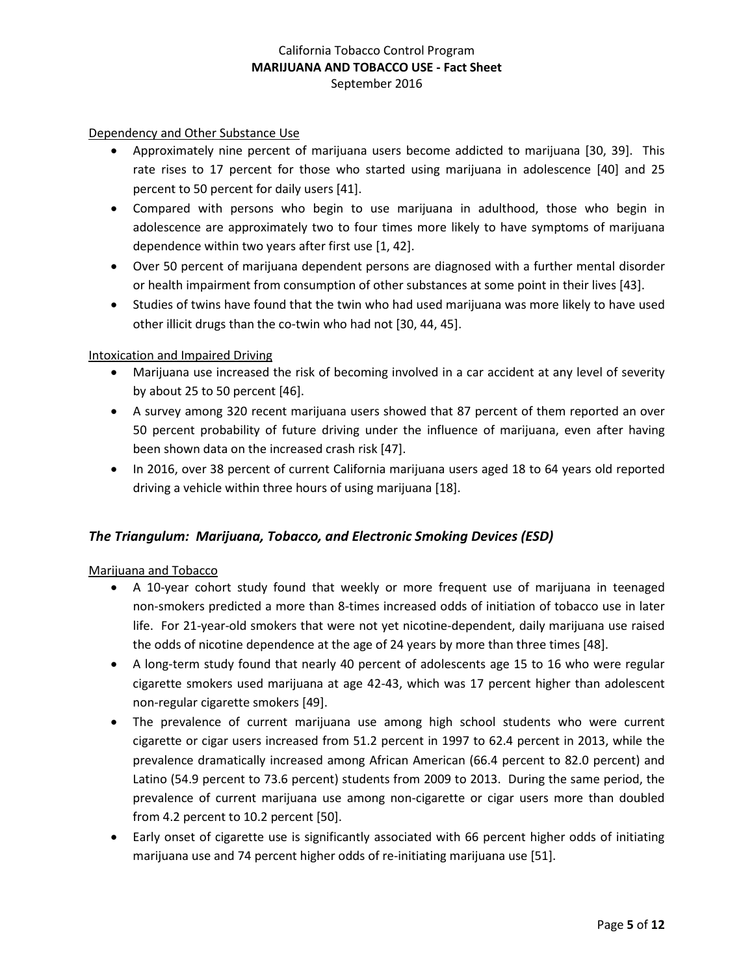#### Dependency and Other Substance Use

- Approximately nine percent of marijuana users become addicted to marijuana [30, 39]. This rate rises to 17 percent for those who started using marijuana in adolescence [40] and 25 percent to 50 percent for daily users [41].
- Compared with persons who begin to use marijuana in adulthood, those who begin in adolescence are approximately two to four times more likely to have symptoms of marijuana dependence within two years after first use [1, 42].
- Over 50 percent of marijuana dependent persons are diagnosed with a further mental disorder or health impairment from consumption of other substances at some point in their lives [43].
- Studies of twins have found that the twin who had used marijuana was more likely to have used other illicit drugs than the co-twin who had not [30, 44, 45].

#### Intoxication and Impaired Driving

- Marijuana use increased the risk of becoming involved in a car accident at any level of severity by about 25 to 50 percent [46].
- A survey among 320 recent marijuana users showed that 87 percent of them reported an over 50 percent probability of future driving under the influence of marijuana, even after having been shown data on the increased crash risk [47].
- In 2016, over 38 percent of current California marijuana users aged 18 to 64 years old reported driving a vehicle within three hours of using marijuana [18].

#### *The Triangulum: Marijuana, Tobacco, and Electronic Smoking Devices (ESD)*

#### Marijuana and Tobacco

- A 10-year cohort study found that weekly or more frequent use of marijuana in teenaged non-smokers predicted a more than 8-times increased odds of initiation of tobacco use in later life. For 21-year-old smokers that were not yet nicotine-dependent, daily marijuana use raised the odds of nicotine dependence at the age of 24 years by more than three times [48].
- A long-term study found that nearly 40 percent of adolescents age 15 to 16 who were regular cigarette smokers used marijuana at age 42-43, which was 17 percent higher than adolescent non-regular cigarette smokers [49].
- The prevalence of current marijuana use among high school students who were current cigarette or cigar users increased from 51.2 percent in 1997 to 62.4 percent in 2013, while the prevalence dramatically increased among African American (66.4 percent to 82.0 percent) and Latino (54.9 percent to 73.6 percent) students from 2009 to 2013. During the same period, the prevalence of current marijuana use among non-cigarette or cigar users more than doubled from 4.2 percent to 10.2 percent [50].
- Early onset of cigarette use is significantly associated with 66 percent higher odds of initiating marijuana use and 74 percent higher odds of re-initiating marijuana use [51].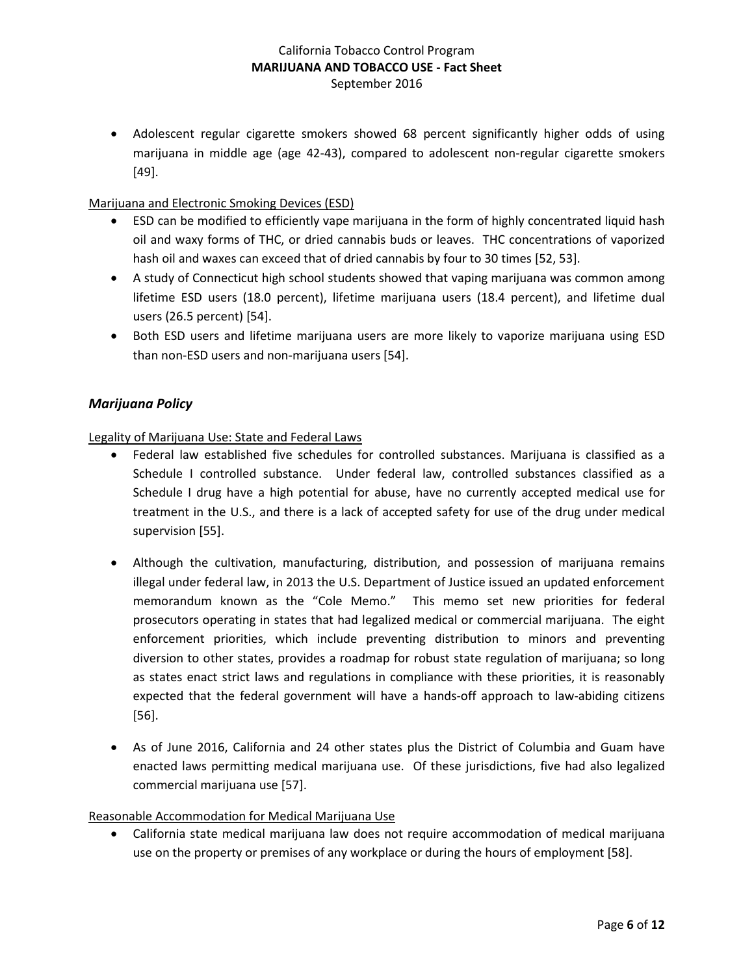• Adolescent regular cigarette smokers showed 68 percent significantly higher odds of using marijuana in middle age (age 42-43), compared to adolescent non-regular cigarette smokers [49].

#### Marijuana and Electronic Smoking Devices (ESD)

- ESD can be modified to efficiently vape marijuana in the form of highly concentrated liquid hash oil and waxy forms of THC, or dried cannabis buds or leaves. THC concentrations of vaporized hash oil and waxes can exceed that of dried cannabis by four to 30 times [52, 53].
- A study of Connecticut high school students showed that vaping marijuana was common among lifetime ESD users (18.0 percent), lifetime marijuana users (18.4 percent), and lifetime dual users (26.5 percent) [54].
- Both ESD users and lifetime marijuana users are more likely to vaporize marijuana using ESD than non-ESD users and non-marijuana users [54].

### *Marijuana Policy*

#### Legality of Marijuana Use: State and Federal Laws

- Federal law established five schedules for controlled substances. Marijuana is classified as a Schedule I controlled substance. Under federal law, controlled substances classified as a Schedule I drug have a high potential for abuse, have no currently accepted medical use for treatment in the U.S., and there is a lack of accepted safety for use of the drug under medical supervision [55].
- Although the cultivation, manufacturing, distribution, and possession of marijuana remains illegal under federal law, in 2013 the U.S. Department of Justice issued an updated enforcement memorandum known as the "Cole Memo." This memo set new priorities for federal prosecutors operating in states that had legalized medical or commercial marijuana. The eight enforcement priorities, which include preventing distribution to minors and preventing diversion to other states, provides a roadmap for robust state regulation of marijuana; so long as states enact strict laws and regulations in compliance with these priorities, it is reasonably expected that the federal government will have a hands-off approach to law-abiding citizens [56].
- As of June 2016, California and 24 other states plus the District of Columbia and Guam have enacted laws permitting medical marijuana use. Of these jurisdictions, five had also legalized commercial marijuana use [57].

#### Reasonable Accommodation for Medical Marijuana Use

• California state medical marijuana law does not require accommodation of medical marijuana use on the property or premises of any workplace or during the hours of employment [58].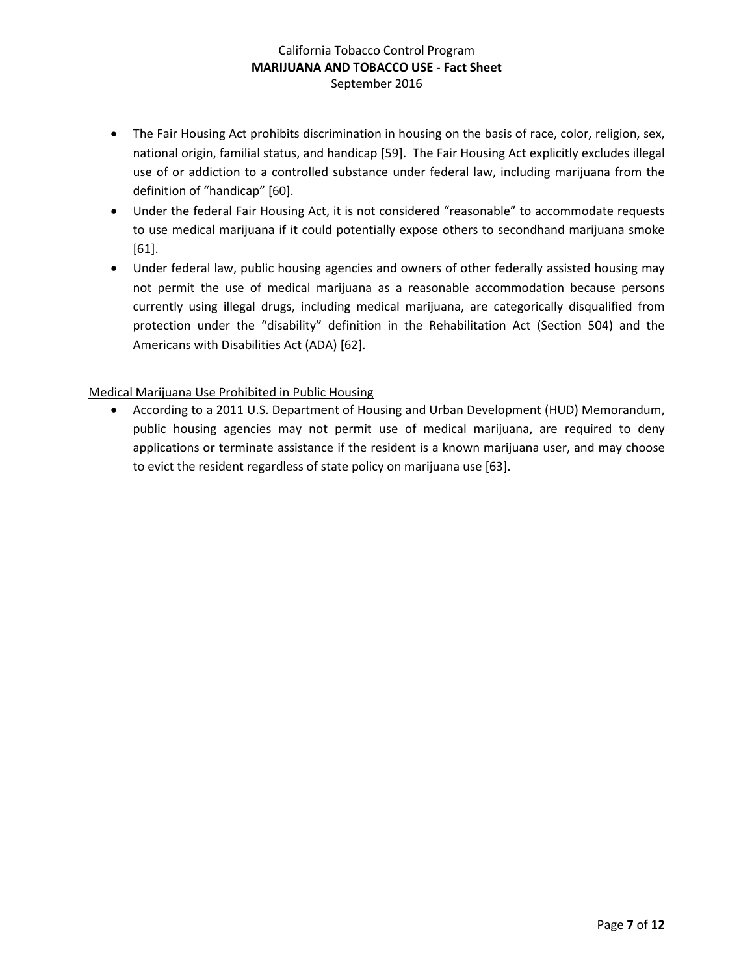- The Fair Housing Act prohibits discrimination in housing on the basis of race, color, religion, sex, national origin, familial status, and handicap [59]. The Fair Housing Act explicitly excludes illegal use of or addiction to a controlled substance under federal law, including marijuana from the definition of "handicap" [60].
- Under the federal Fair Housing Act, it is not considered "reasonable" to accommodate requests to use medical marijuana if it could potentially expose others to secondhand marijuana smoke [61].
- Under federal law, public housing agencies and owners of other federally assisted housing may not permit the use of medical marijuana as a reasonable accommodation because persons currently using illegal drugs, including medical marijuana, are categorically disqualified from protection under the "disability" definition in the Rehabilitation Act (Section 504) and the Americans with Disabilities Act (ADA) [62].

### Medical Marijuana Use Prohibited in Public Housing

• According to a 2011 U.S. Department of Housing and Urban Development (HUD) Memorandum, public housing agencies may not permit use of medical marijuana, are required to deny applications or terminate assistance if the resident is a known marijuana user, and may choose to evict the resident regardless of state policy on marijuana use [63].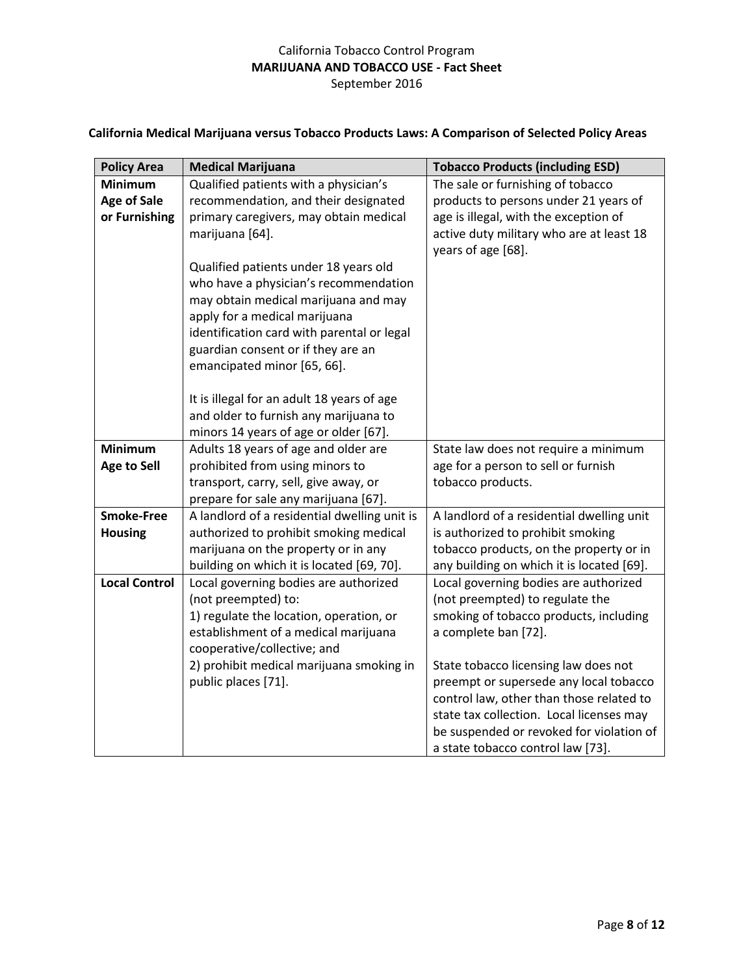# **California Medical Marijuana versus Tobacco Products Laws: A Comparison of Selected Policy Areas**

| <b>Policy Area</b>                   | <b>Medical Marijuana</b>                                                                                                                                                                                                                                                                                                                                                                                                                                                                                                            | <b>Tobacco Products (including ESD)</b>                                                                                                                                                                                                                                                                                                                                                                                                                          |
|--------------------------------------|-------------------------------------------------------------------------------------------------------------------------------------------------------------------------------------------------------------------------------------------------------------------------------------------------------------------------------------------------------------------------------------------------------------------------------------------------------------------------------------------------------------------------------------|------------------------------------------------------------------------------------------------------------------------------------------------------------------------------------------------------------------------------------------------------------------------------------------------------------------------------------------------------------------------------------------------------------------------------------------------------------------|
| <b>Minimum</b>                       | Qualified patients with a physician's                                                                                                                                                                                                                                                                                                                                                                                                                                                                                               | The sale or furnishing of tobacco                                                                                                                                                                                                                                                                                                                                                                                                                                |
| <b>Age of Sale</b>                   | recommendation, and their designated                                                                                                                                                                                                                                                                                                                                                                                                                                                                                                | products to persons under 21 years of                                                                                                                                                                                                                                                                                                                                                                                                                            |
| or Furnishing                        | primary caregivers, may obtain medical                                                                                                                                                                                                                                                                                                                                                                                                                                                                                              | age is illegal, with the exception of                                                                                                                                                                                                                                                                                                                                                                                                                            |
|                                      | marijuana [64].                                                                                                                                                                                                                                                                                                                                                                                                                                                                                                                     | active duty military who are at least 18                                                                                                                                                                                                                                                                                                                                                                                                                         |
|                                      |                                                                                                                                                                                                                                                                                                                                                                                                                                                                                                                                     | years of age [68].                                                                                                                                                                                                                                                                                                                                                                                                                                               |
|                                      | Qualified patients under 18 years old                                                                                                                                                                                                                                                                                                                                                                                                                                                                                               |                                                                                                                                                                                                                                                                                                                                                                                                                                                                  |
|                                      | who have a physician's recommendation                                                                                                                                                                                                                                                                                                                                                                                                                                                                                               |                                                                                                                                                                                                                                                                                                                                                                                                                                                                  |
|                                      | may obtain medical marijuana and may                                                                                                                                                                                                                                                                                                                                                                                                                                                                                                |                                                                                                                                                                                                                                                                                                                                                                                                                                                                  |
|                                      | apply for a medical marijuana                                                                                                                                                                                                                                                                                                                                                                                                                                                                                                       |                                                                                                                                                                                                                                                                                                                                                                                                                                                                  |
|                                      | identification card with parental or legal                                                                                                                                                                                                                                                                                                                                                                                                                                                                                          |                                                                                                                                                                                                                                                                                                                                                                                                                                                                  |
|                                      | guardian consent or if they are an                                                                                                                                                                                                                                                                                                                                                                                                                                                                                                  |                                                                                                                                                                                                                                                                                                                                                                                                                                                                  |
|                                      |                                                                                                                                                                                                                                                                                                                                                                                                                                                                                                                                     |                                                                                                                                                                                                                                                                                                                                                                                                                                                                  |
|                                      |                                                                                                                                                                                                                                                                                                                                                                                                                                                                                                                                     |                                                                                                                                                                                                                                                                                                                                                                                                                                                                  |
|                                      |                                                                                                                                                                                                                                                                                                                                                                                                                                                                                                                                     |                                                                                                                                                                                                                                                                                                                                                                                                                                                                  |
|                                      |                                                                                                                                                                                                                                                                                                                                                                                                                                                                                                                                     |                                                                                                                                                                                                                                                                                                                                                                                                                                                                  |
|                                      |                                                                                                                                                                                                                                                                                                                                                                                                                                                                                                                                     |                                                                                                                                                                                                                                                                                                                                                                                                                                                                  |
|                                      |                                                                                                                                                                                                                                                                                                                                                                                                                                                                                                                                     |                                                                                                                                                                                                                                                                                                                                                                                                                                                                  |
|                                      |                                                                                                                                                                                                                                                                                                                                                                                                                                                                                                                                     |                                                                                                                                                                                                                                                                                                                                                                                                                                                                  |
|                                      |                                                                                                                                                                                                                                                                                                                                                                                                                                                                                                                                     |                                                                                                                                                                                                                                                                                                                                                                                                                                                                  |
| <b>Smoke-Free</b>                    | A landlord of a residential dwelling unit is                                                                                                                                                                                                                                                                                                                                                                                                                                                                                        | A landlord of a residential dwelling unit                                                                                                                                                                                                                                                                                                                                                                                                                        |
| <b>Housing</b>                       | authorized to prohibit smoking medical                                                                                                                                                                                                                                                                                                                                                                                                                                                                                              | is authorized to prohibit smoking                                                                                                                                                                                                                                                                                                                                                                                                                                |
|                                      | marijuana on the property or in any                                                                                                                                                                                                                                                                                                                                                                                                                                                                                                 | tobacco products, on the property or in                                                                                                                                                                                                                                                                                                                                                                                                                          |
|                                      | building on which it is located [69, 70].                                                                                                                                                                                                                                                                                                                                                                                                                                                                                           | any building on which it is located [69].                                                                                                                                                                                                                                                                                                                                                                                                                        |
| <b>Local Control</b>                 | Local governing bodies are authorized                                                                                                                                                                                                                                                                                                                                                                                                                                                                                               | Local governing bodies are authorized                                                                                                                                                                                                                                                                                                                                                                                                                            |
|                                      |                                                                                                                                                                                                                                                                                                                                                                                                                                                                                                                                     |                                                                                                                                                                                                                                                                                                                                                                                                                                                                  |
|                                      |                                                                                                                                                                                                                                                                                                                                                                                                                                                                                                                                     |                                                                                                                                                                                                                                                                                                                                                                                                                                                                  |
|                                      |                                                                                                                                                                                                                                                                                                                                                                                                                                                                                                                                     |                                                                                                                                                                                                                                                                                                                                                                                                                                                                  |
|                                      |                                                                                                                                                                                                                                                                                                                                                                                                                                                                                                                                     |                                                                                                                                                                                                                                                                                                                                                                                                                                                                  |
|                                      |                                                                                                                                                                                                                                                                                                                                                                                                                                                                                                                                     |                                                                                                                                                                                                                                                                                                                                                                                                                                                                  |
|                                      |                                                                                                                                                                                                                                                                                                                                                                                                                                                                                                                                     |                                                                                                                                                                                                                                                                                                                                                                                                                                                                  |
|                                      |                                                                                                                                                                                                                                                                                                                                                                                                                                                                                                                                     |                                                                                                                                                                                                                                                                                                                                                                                                                                                                  |
|                                      |                                                                                                                                                                                                                                                                                                                                                                                                                                                                                                                                     |                                                                                                                                                                                                                                                                                                                                                                                                                                                                  |
|                                      |                                                                                                                                                                                                                                                                                                                                                                                                                                                                                                                                     |                                                                                                                                                                                                                                                                                                                                                                                                                                                                  |
| <b>Minimum</b><br><b>Age to Sell</b> | emancipated minor [65, 66].<br>It is illegal for an adult 18 years of age<br>and older to furnish any marijuana to<br>minors 14 years of age or older [67].<br>Adults 18 years of age and older are<br>prohibited from using minors to<br>transport, carry, sell, give away, or<br>prepare for sale any marijuana [67].<br>(not preempted) to:<br>1) regulate the location, operation, or<br>establishment of a medical marijuana<br>cooperative/collective; and<br>2) prohibit medical marijuana smoking in<br>public places [71]. | State law does not require a minimum<br>age for a person to sell or furnish<br>tobacco products.<br>(not preempted) to regulate the<br>smoking of tobacco products, including<br>a complete ban [72].<br>State tobacco licensing law does not<br>preempt or supersede any local tobacco<br>control law, other than those related to<br>state tax collection. Local licenses may<br>be suspended or revoked for violation of<br>a state tobacco control law [73]. |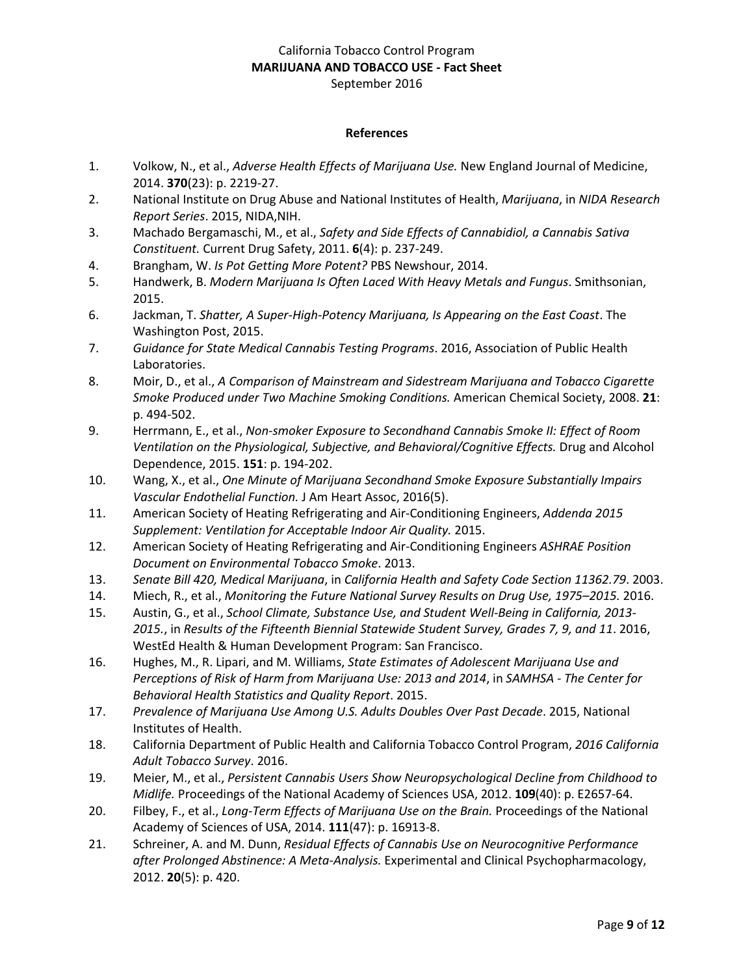#### **References**

- 1. Volkow, N., et al., *Adverse Health Effects of Marijuana Use.* New England Journal of Medicine, 2014. **370**(23): p. 2219-27.
- 2. National Institute on Drug Abuse and National Institutes of Health, *Marijuana*, in *NIDA Research Report Series*. 2015, NIDA,NIH.
- 3. Machado Bergamaschi, M., et al., *Safety and Side Effects of Cannabidiol, a Cannabis Sativa Constituent.* Current Drug Safety, 2011. **6**(4): p. 237-249.
- 4. Brangham, W. *Is Pot Getting More Potent?* PBS Newshour, 2014.
- 5. Handwerk, B. *Modern Marijuana Is Often Laced With Heavy Metals and Fungus*. Smithsonian, 2015.
- 6. Jackman, T. *Shatter, A Super-High-Potency Marijuana, Is Appearing on the East Coast*. The Washington Post, 2015.
- 7. *Guidance for State Medical Cannabis Testing Programs*. 2016, Association of Public Health Laboratories.
- 8. Moir, D., et al., *A Comparison of Mainstream and Sidestream Marijuana and Tobacco Cigarette Smoke Produced under Two Machine Smoking Conditions.* American Chemical Society, 2008. **21**: p. 494-502.
- 9. Herrmann, E., et al., *Non-smoker Exposure to Secondhand Cannabis Smoke II: Effect of Room Ventilation on the Physiological, Subjective, and Behavioral/Cognitive Effects.* Drug and Alcohol Dependence, 2015. **151**: p. 194-202.
- 10. Wang, X., et al., *One Minute of Marijuana Secondhand Smoke Exposure Substantially Impairs Vascular Endothelial Function.* J Am Heart Assoc, 2016(5).
- 11. American Society of Heating Refrigerating and Air-Conditioning Engineers, *Addenda 2015 Supplement: Ventilation for Acceptable Indoor Air Quality.* 2015.
- 12. American Society of Heating Refrigerating and Air-Conditioning Engineers *ASHRAE Position Document on Environmental Tobacco Smoke*. 2013.
- 13. *Senate Bill 420, Medical Marijuana*, in *California Health and Safety Code Section 11362.79*. 2003.
- 14. Miech, R., et al., *Monitoring the Future National Survey Results on Drug Use, 1975–2015.* 2016.
- 15. Austin, G., et al., *School Climate, Substance Use, and Student Well-Being in California, 2013- 2015.*, in *Results of the Fifteenth Biennial Statewide Student Survey, Grades 7, 9, and 11*. 2016, WestEd Health & Human Development Program: San Francisco.
- 16. Hughes, M., R. Lipari, and M. Williams, *State Estimates of Adolescent Marijuana Use and Perceptions of Risk of Harm from Marijuana Use: 2013 and 2014*, in *SAMHSA - The Center for Behavioral Health Statistics and Quality Report*. 2015.
- 17. *Prevalence of Marijuana Use Among U.S. Adults Doubles Over Past Decade*. 2015, National Institutes of Health.
- 18. California Department of Public Health and California Tobacco Control Program, *2016 California Adult Tobacco Survey*. 2016.
- 19. Meier, M., et al., *Persistent Cannabis Users Show Neuropsychological Decline from Childhood to Midlife.* Proceedings of the National Academy of Sciences USA, 2012. **109**(40): p. E2657-64.
- 20. Filbey, F., et al., *Long-Term Effects of Marijuana Use on the Brain.* Proceedings of the National Academy of Sciences of USA, 2014. **111**(47): p. 16913-8.
- 21. Schreiner, A. and M. Dunn, *Residual Effects of Cannabis Use on Neurocognitive Performance after Prolonged Abstinence: A Meta-Analysis.* Experimental and Clinical Psychopharmacology, 2012. **20**(5): p. 420.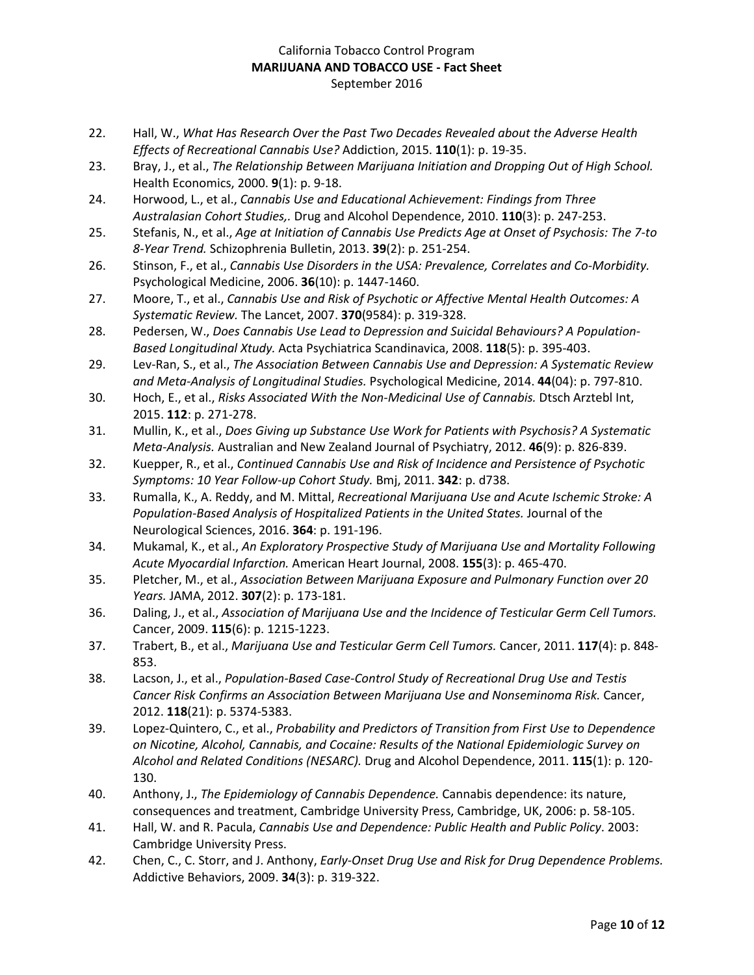- 22. Hall, W., *What Has Research Over the Past Two Decades Revealed about the Adverse Health Effects of Recreational Cannabis Use?* Addiction, 2015. **110**(1): p. 19-35.
- 23. Bray, J., et al., *The Relationship Between Marijuana Initiation and Dropping Out of High School.* Health Economics, 2000. **9**(1): p. 9-18.
- 24. Horwood, L., et al., *Cannabis Use and Educational Achievement: Findings from Three Australasian Cohort Studies,.* Drug and Alcohol Dependence, 2010. **110**(3): p. 247-253.
- 25. Stefanis, N., et al., *Age at Initiation of Cannabis Use Predicts Age at Onset of Psychosis: The 7-to 8-Year Trend.* Schizophrenia Bulletin, 2013. **39**(2): p. 251-254.
- 26. Stinson, F., et al., *Cannabis Use Disorders in the USA: Prevalence, Correlates and Co-Morbidity.* Psychological Medicine, 2006. **36**(10): p. 1447-1460.
- 27. Moore, T., et al., *Cannabis Use and Risk of Psychotic or Affective Mental Health Outcomes: A Systematic Review.* The Lancet, 2007. **370**(9584): p. 319-328.
- 28. Pedersen, W., *Does Cannabis Use Lead to Depression and Suicidal Behaviours? A Population-Based Longitudinal Xtudy.* Acta Psychiatrica Scandinavica, 2008. **118**(5): p. 395-403.
- 29. Lev-Ran, S., et al., *The Association Between Cannabis Use and Depression: A Systematic Review and Meta-Analysis of Longitudinal Studies.* Psychological Medicine, 2014. **44**(04): p. 797-810.
- 30. Hoch, E., et al., *Risks Associated With the Non-Medicinal Use of Cannabis.* Dtsch Arztebl Int, 2015. **112**: p. 271-278.
- 31. Mullin, K., et al., *Does Giving up Substance Use Work for Patients with Psychosis? A Systematic Meta-Analysis.* Australian and New Zealand Journal of Psychiatry, 2012. **46**(9): p. 826-839.
- 32. Kuepper, R., et al., *Continued Cannabis Use and Risk of Incidence and Persistence of Psychotic Symptoms: 10 Year Follow-up Cohort Study.* Bmj, 2011. **342**: p. d738.
- 33. Rumalla, K., A. Reddy, and M. Mittal, *Recreational Marijuana Use and Acute Ischemic Stroke: A Population-Based Analysis of Hospitalized Patients in the United States.* Journal of the Neurological Sciences, 2016. **364**: p. 191-196.
- 34. Mukamal, K., et al., *An Exploratory Prospective Study of Marijuana Use and Mortality Following Acute Myocardial Infarction.* American Heart Journal, 2008. **155**(3): p. 465-470.
- 35. Pletcher, M., et al., *Association Between Marijuana Exposure and Pulmonary Function over 20 Years.* JAMA, 2012. **307**(2): p. 173-181.
- 36. Daling, J., et al., *Association of Marijuana Use and the Incidence of Testicular Germ Cell Tumors.* Cancer, 2009. **115**(6): p. 1215-1223.
- 37. Trabert, B., et al., *Marijuana Use and Testicular Germ Cell Tumors.* Cancer, 2011. **117**(4): p. 848- 853.
- 38. Lacson, J., et al., *Population-Based Case-Control Study of Recreational Drug Use and Testis Cancer Risk Confirms an Association Between Marijuana Use and Nonseminoma Risk.* Cancer, 2012. **118**(21): p. 5374-5383.
- 39. Lopez-Quintero, C., et al., *Probability and Predictors of Transition from First Use to Dependence on Nicotine, Alcohol, Cannabis, and Cocaine: Results of the National Epidemiologic Survey on Alcohol and Related Conditions (NESARC).* Drug and Alcohol Dependence, 2011. **115**(1): p. 120- 130.
- 40. Anthony, J., *The Epidemiology of Cannabis Dependence.* Cannabis dependence: its nature, consequences and treatment, Cambridge University Press, Cambridge, UK, 2006: p. 58-105.
- 41. Hall, W. and R. Pacula, *Cannabis Use and Dependence: Public Health and Public Policy*. 2003: Cambridge University Press.
- 42. Chen, C., C. Storr, and J. Anthony, *Early-Onset Drug Use and Risk for Drug Dependence Problems.* Addictive Behaviors, 2009. **34**(3): p. 319-322.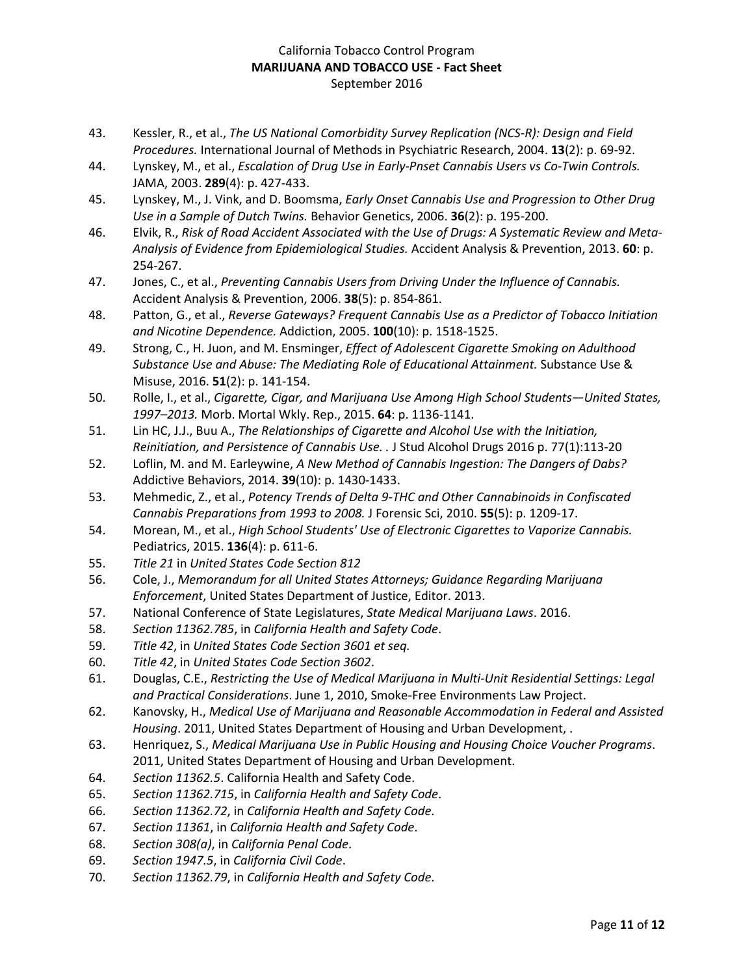- 43. Kessler, R., et al., *The US National Comorbidity Survey Replication (NCS-R): Design and Field Procedures.* International Journal of Methods in Psychiatric Research, 2004. **13**(2): p. 69-92.
- 44. Lynskey, M., et al., *Escalation of Drug Use in Early-Pnset Cannabis Users vs Co-Twin Controls.* JAMA, 2003. **289**(4): p. 427-433.
- 45. Lynskey, M., J. Vink, and D. Boomsma, *Early Onset Cannabis Use and Progression to Other Drug Use in a Sample of Dutch Twins.* Behavior Genetics, 2006. **36**(2): p. 195-200.
- 46. Elvik, R., *Risk of Road Accident Associated with the Use of Drugs: A Systematic Review and Meta-Analysis of Evidence from Epidemiological Studies.* Accident Analysis & Prevention, 2013. **60**: p. 254-267.
- 47. Jones, C., et al., *Preventing Cannabis Users from Driving Under the Influence of Cannabis.* Accident Analysis & Prevention, 2006. **38**(5): p. 854-861.
- 48. Patton, G., et al., *Reverse Gateways? Frequent Cannabis Use as a Predictor of Tobacco Initiation and Nicotine Dependence.* Addiction, 2005. **100**(10): p. 1518-1525.
- 49. Strong, C., H. Juon, and M. Ensminger, *Effect of Adolescent Cigarette Smoking on Adulthood Substance Use and Abuse: The Mediating Role of Educational Attainment.* Substance Use & Misuse, 2016. **51**(2): p. 141-154.
- 50. Rolle, I., et al., *Cigarette, Cigar, and Marijuana Use Among High School Students—United States, 1997–2013.* Morb. Mortal Wkly. Rep., 2015. **64**: p. 1136-1141.
- 51. Lin HC, J.J., Buu A., *The Relationships of Cigarette and Alcohol Use with the Initiation, Reinitiation, and Persistence of Cannabis Use. .* J Stud Alcohol Drugs 2016 p. 77(1):113-20
- 52. Loflin, M. and M. Earleywine, *A New Method of Cannabis Ingestion: The Dangers of Dabs?* Addictive Behaviors, 2014. **39**(10): p. 1430-1433.
- 53. Mehmedic, Z., et al., *Potency Trends of Delta 9-THC and Other Cannabinoids in Confiscated Cannabis Preparations from 1993 to 2008.* J Forensic Sci, 2010. **55**(5): p. 1209-17.
- 54. Morean, M., et al., *High School Students' Use of Electronic Cigarettes to Vaporize Cannabis.* Pediatrics, 2015. **136**(4): p. 611-6.
- 55. *Title 21* in *United States Code Section 812*
- 56. Cole, J., *Memorandum for all United States Attorneys; Guidance Regarding Marijuana Enforcement*, United States Department of Justice, Editor. 2013.
- 57. National Conference of State Legislatures, *State Medical Marijuana Laws*. 2016.
- 58. *Section 11362.785*, in *California Health and Safety Code*.
- 59. *Title 42*, in *United States Code Section 3601 et seq.*
- 60. *Title 42*, in *United States Code Section 3602*.
- 61. Douglas, C.E., *Restricting the Use of Medical Marijuana in Multi-Unit Residential Settings: Legal and Practical Considerations*. June 1, 2010, Smoke-Free Environments Law Project.
- 62. Kanovsky, H., *Medical Use of Marijuana and Reasonable Accommodation in Federal and Assisted Housing*. 2011, United States Department of Housing and Urban Development, .
- 63. Henriquez, S., *Medical Marijuana Use in Public Housing and Housing Choice Voucher Programs*. 2011, United States Department of Housing and Urban Development.
- 64. *Section 11362.5*. California Health and Safety Code.
- 65. *Section 11362.715*, in *California Health and Safety Code*.
- 66. *Section 11362.72*, in *California Health and Safety Code*.
- 67. *Section 11361*, in *California Health and Safety Code*.
- 68. *Section 308(a)*, in *California Penal Code*.
- 69. *Section 1947.5*, in *California Civil Code*.
- 70. *Section 11362.79*, in *California Health and Safety Code*.